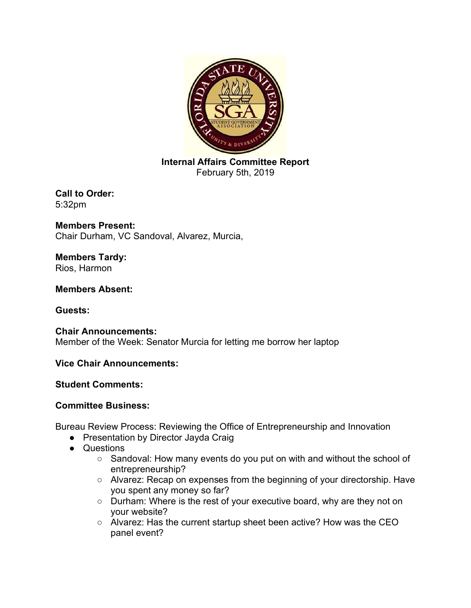

**Internal Affairs Committee Report** February 5th, 2019

**Call to Order:** 5:32pm

**Members Present:**  Chair Durham, VC Sandoval, Alvarez, Murcia,

**Members Tardy:**  Rios, Harmon

**Members Absent:** 

**Guests:** 

**Chair Announcements:** Member of the Week: Senator Murcia for letting me borrow her laptop

**Vice Chair Announcements:**

# **Student Comments:**

# **Committee Business:**

Bureau Review Process: Reviewing the Office of Entrepreneurship and Innovation

- Presentation by Director Jayda Craig
- Questions
	- Sandoval: How many events do you put on with and without the school of entrepreneurship?
	- Alvarez: Recap on expenses from the beginning of your directorship. Have you spent any money so far?
	- Durham: Where is the rest of your executive board, why are they not on your website?
	- Alvarez: Has the current startup sheet been active? How was the CEO panel event?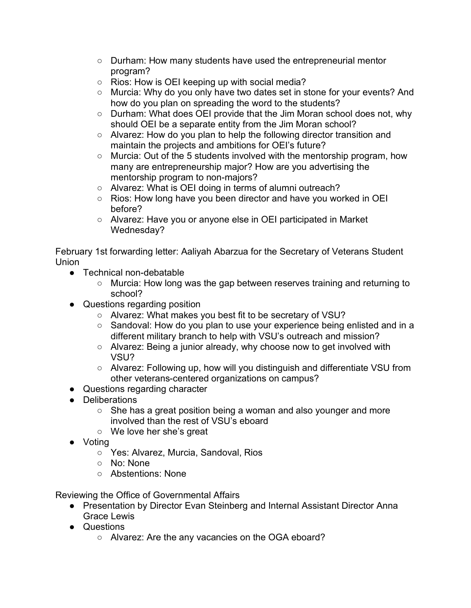- Durham: How many students have used the entrepreneurial mentor program?
- Rios: How is OEI keeping up with social media?
- Murcia: Why do you only have two dates set in stone for your events? And how do you plan on spreading the word to the students?
- Durham: What does OEI provide that the Jim Moran school does not, why should OEI be a separate entity from the Jim Moran school?
- Alvarez: How do you plan to help the following director transition and maintain the projects and ambitions for OEI's future?
- Murcia: Out of the 5 students involved with the mentorship program, how many are entrepreneurship major? How are you advertising the mentorship program to non-majors?
- Alvarez: What is OEI doing in terms of alumni outreach?
- Rios: How long have you been director and have you worked in OEI before?
- Alvarez: Have you or anyone else in OEI participated in Market Wednesday?

February 1st forwarding letter: Aaliyah Abarzua for the Secretary of Veterans Student Union

- Technical non-debatable
	- Murcia: How long was the gap between reserves training and returning to school?
- Questions regarding position
	- Alvarez: What makes you best fit to be secretary of VSU?
	- Sandoval: How do you plan to use your experience being enlisted and in a different military branch to help with VSU's outreach and mission?
	- Alvarez: Being a junior already, why choose now to get involved with VSU?
	- Alvarez: Following up, how will you distinguish and differentiate VSU from other veterans-centered organizations on campus?
- Questions regarding character
- Deliberations
	- She has a great position being a woman and also younger and more involved than the rest of VSU's eboard
	- We love her she's great
- Voting
	- Yes: Alvarez, Murcia, Sandoval, Rios
	- No: None
	- Abstentions: None

Reviewing the Office of Governmental Affairs

- Presentation by Director Evan Steinberg and Internal Assistant Director Anna Grace Lewis
- Questions
	- Alvarez: Are the any vacancies on the OGA eboard?